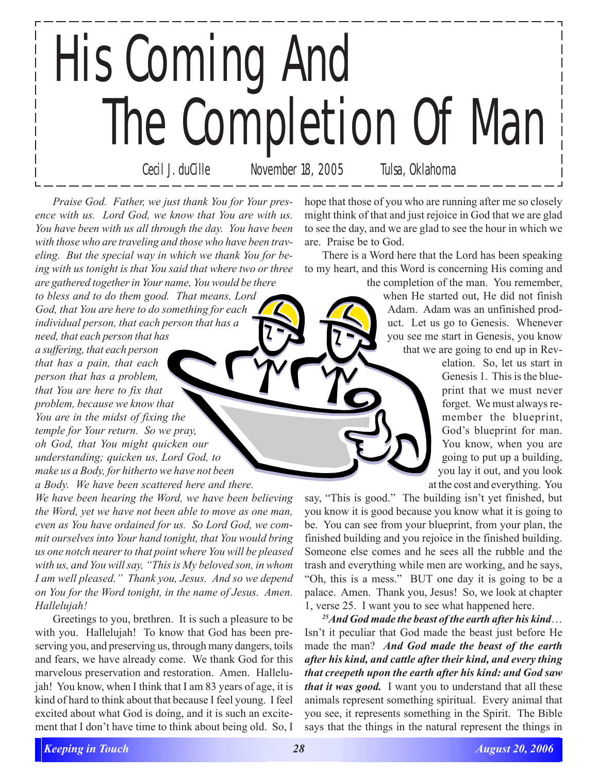## His Coming And The Completion Of Man Cecil J. duCille November 18, 2005 Tulsa, Oklahoma

*Praise God. Father, we just thank You for Your presence with us. Lord God, we know that You are with us. You have been with us all through the day. You have been with those who are traveling and those who have been traveling. But the special way in which we thank You for being with us tonight is that You said that where two or three are gathered together in Your name, You would be there to bless and to do them good. That means, Lord*

*God, that You are here to do something for each individual person, that each person that has a need, that each person that has*

*a suffering, that each person that has a pain, that each person that has a problem, that You are here to fix that problem, because we know that You are in the midst of fixing the temple for Your return. So we pray, oh God, that You might quicken our understanding; quicken us, Lord God, to make us a Body, for hitherto we have not been a Body. We have been scattered here and there.*

*We have been hearing the Word, we have been believing the Word, yet we have not been able to move as one man, even as You have ordained for us. So Lord God, we commit ourselves into Your hand tonight, that You would bring us one notch nearer to that point where You will be pleased with us, and You will say, "This is My beloved son, in whom I am well pleased." Thank you, Jesus. And so we depend on You for the Word tonight, in the name of Jesus. Amen. Hallelujah!*

Greetings to you, brethren. It is such a pleasure to be with you. Hallelujah! To know that God has been preserving you, and preserving us, through many dangers, toils and fears, we have already come. We thank God for this marvelous preservation and restoration. Amen. Hallelujah! You know, when I think that I am 83 years of age, it is kind of hard to think about that because I feel young. I feel excited about what God is doing, and it is such an excitement that I don't have time to think about being old. So, I

hope that those of you who are running after me so closely might think of that and just rejoice in God that we are glad to see the day, and we are glad to see the hour in which we are. Praise be to God.

There is a Word here that the Lord has been speaking to my heart, and this Word is concerning His coming and

the completion of the man. You remember, when He started out, He did not finish Adam. Adam was an unfinished product. Let us go to Genesis. Whenever you see me start in Genesis, you know that we are going to end up in Rev-

> elation. So, let us start in Genesis 1. This is the blueprint that we must never forget. We must always remember the blueprint, God's blueprint for man. You know, when you are going to put up a building, you lay it out, and you look at the cost and everything. You

say, "This is good." The building isn't yet finished, but you know it is good because you know what it is going to be. You can see from your blueprint, from your plan, the finished building and you rejoice in the finished building. Someone else comes and he sees all the rubble and the trash and everything while men are working, and he says, "Oh, this is a mess." BUT one day it is going to be a palace. Amen. Thank you, Jesus! So, we look at chapter 1, verse 25. I want you to see what happened here.

*25And God made the beast of the earth after his kind*… Isn't it peculiar that God made the beast just before He made the man? *And God made the beast of the earth after his kind, and cattle after their kind, and every thing that creepeth upon the earth after his kind: and God saw that it was good.* I want you to understand that all these animals represent something spiritual. Every animal that you see, it represents something in the Spirit. The Bible says that the things in the natural represent the things in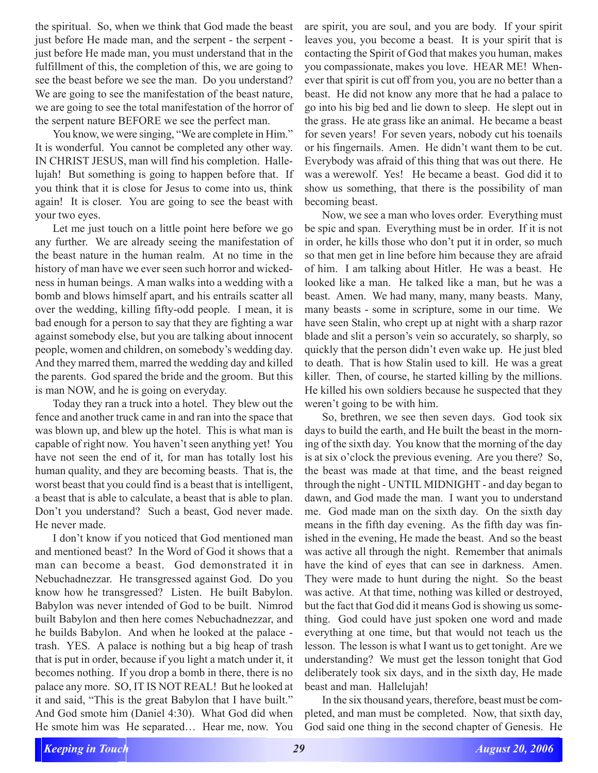the spiritual. So, when we think that God made the beast just before He made man, and the serpent - the serpent just before He made man, you must understand that in the fulfillment of this, the completion of this, we are going to see the beast before we see the man. Do you understand? We are going to see the manifestation of the beast nature, we are going to see the total manifestation of the horror of the serpent nature BEFORE we see the perfect man.

You know, we were singing, "We are complete in Him." It is wonderful. You cannot be completed any other way. IN CHRIST JESUS, man will find his completion. Hallelujah! But something is going to happen before that. If you think that it is close for Jesus to come into us, think again! It is closer. You are going to see the beast with your two eyes.

Let me just touch on a little point here before we go any further. We are already seeing the manifestation of the beast nature in the human realm. At no time in the history of man have we ever seen such horror and wickedness in human beings. A man walks into a wedding with a bomb and blows himself apart, and his entrails scatter all over the wedding, killing fifty-odd people. I mean, it is bad enough for a person to say that they are fighting a war against somebody else, but you are talking about innocent people, women and children, on somebody's wedding day. And they marred them, marred the wedding day and killed the parents. God spared the bride and the groom. But this is man NOW, and he is going on everyday.

Today they ran a truck into a hotel. They blew out the fence and another truck came in and ran into the space that was blown up, and blew up the hotel. This is what man is capable of right now. You haven't seen anything yet! You have not seen the end of it, for man has totally lost his human quality, and they are becoming beasts. That is, the worst beast that you could find is a beast that is intelligent, a beast that is able to calculate, a beast that is able to plan. Don't you understand? Such a beast, God never made. He never made.

I don't know if you noticed that God mentioned man and mentioned beast? In the Word of God it shows that a man can become a beast. God demonstrated it in Nebuchadnezzar. He transgressed against God. Do you know how he transgressed? Listen. He built Babylon. Babylon was never intended of God to be built. Nimrod built Babylon and then here comes Nebuchadnezzar, and he builds Babylon. And when he looked at the palace trash. YES. A palace is nothing but a big heap of trash that is put in order, because if you light a match under it, it becomes nothing. If you drop a bomb in there, there is no palace any more. SO, IT IS NOT REAL! But he looked at it and said, "This is the great Babylon that I have built." And God smote him (Daniel 4:30). What God did when He smote him was He separated… Hear me, now. You

are spirit, you are soul, and you are body. If your spirit leaves you, you become a beast. It is your spirit that is contacting the Spirit of God that makes you human, makes you compassionate, makes you love. HEAR ME! Whenever that spirit is cut off from you, you are no better than a beast. He did not know any more that he had a palace to go into his big bed and lie down to sleep. He slept out in the grass. He ate grass like an animal. He became a beast for seven years! For seven years, nobody cut his toenails or his fingernails. Amen. He didn't want them to be cut. Everybody was afraid of this thing that was out there. He was a werewolf. Yes! He became a beast. God did it to show us something, that there is the possibility of man becoming beast.

Now, we see a man who loves order. Everything must be spic and span. Everything must be in order. If it is not in order, he kills those who don't put it in order, so much so that men get in line before him because they are afraid of him. I am talking about Hitler. He was a beast. He looked like a man. He talked like a man, but he was a beast. Amen. We had many, many, many beasts. Many, many beasts - some in scripture, some in our time. We have seen Stalin, who crept up at night with a sharp razor blade and slit a person's vein so accurately, so sharply, so quickly that the person didn't even wake up. He just bled to death. That is how Stalin used to kill. He was a great killer. Then, of course, he started killing by the millions. He killed his own soldiers because he suspected that they weren't going to be with him.

So, brethren, we see then seven days. God took six days to build the earth, and He built the beast in the morning of the sixth day. You know that the morning of the day is at six o'clock the previous evening. Are you there? So, the beast was made at that time, and the beast reigned through the night - UNTIL MIDNIGHT - and day began to dawn, and God made the man. I want you to understand me. God made man on the sixth day. On the sixth day means in the fifth day evening. As the fifth day was finished in the evening, He made the beast. And so the beast was active all through the night. Remember that animals have the kind of eyes that can see in darkness. Amen. They were made to hunt during the night. So the beast was active. At that time, nothing was killed or destroyed, but the fact that God did it means God is showing us something. God could have just spoken one word and made everything at one time, but that would not teach us the lesson. The lesson is what I want us to get tonight. Are we understanding? We must get the lesson tonight that God deliberately took six days, and in the sixth day, He made beast and man. Hallelujah!

In the six thousand years, therefore, beast must be completed, and man must be completed. Now, that sixth day, God said one thing in the second chapter of Genesis. He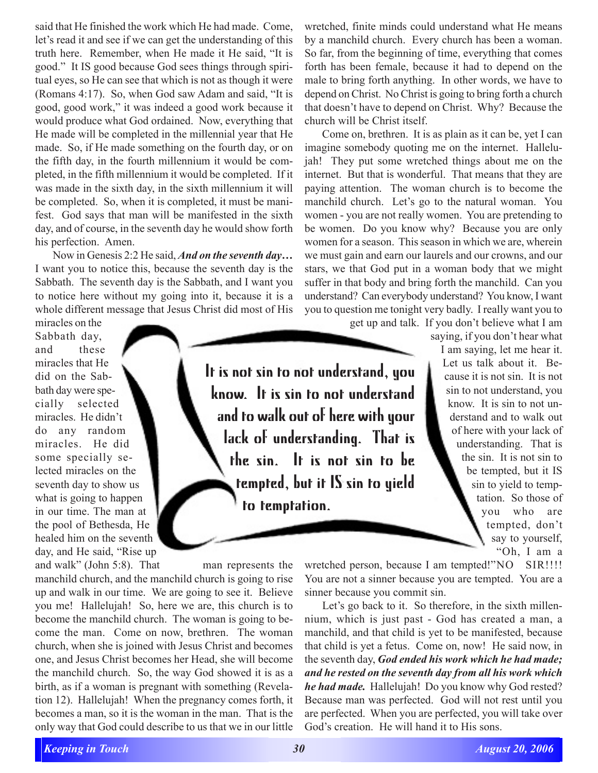said that He finished the work which He had made. Come, let's read it and see if we can get the understanding of this truth here. Remember, when He made it He said, "It is good." It IS good because God sees things through spiritual eyes, so He can see that which is not as though it were (Romans 4:17). So, when God saw Adam and said, "It is good, good work," it was indeed a good work because it would produce what God ordained. Now, everything that He made will be completed in the millennial year that He made. So, if He made something on the fourth day, or on the fifth day, in the fourth millennium it would be completed, in the fifth millennium it would be completed. If it was made in the sixth day, in the sixth millennium it will be completed. So, when it is completed, it must be manifest. God says that man will be manifested in the sixth day, and of course, in the seventh day he would show forth his perfection. Amen.

Now in Genesis 2:2 He said, *And on the seventh day…* I want you to notice this, because the seventh day is the Sabbath. The seventh day is the Sabbath, and I want you to notice here without my going into it, because it is a whole different message that Jesus Christ did most of His

miracles on the Sabbath day, and these miracles that He did on the Sabbath day were specially selected miracles. He didn't do any random miracles. He did some specially selected miracles on the seventh day to show us what is going to happen in our time. The man at the pool of Bethesda, He healed him on the seventh day, and He said, "Rise up and walk" (John 5:8). That man represents the

manchild church, and the manchild church is going to rise up and walk in our time. We are going to see it. Believe you me! Hallelujah! So, here we are, this church is to become the manchild church. The woman is going to become the man. Come on now, brethren. The woman church, when she is joined with Jesus Christ and becomes one, and Jesus Christ becomes her Head, she will become the manchild church. So, the way God showed it is as a birth, as if a woman is pregnant with something (Revelation 12). Hallelujah! When the pregnancy comes forth, it becomes a man, so it is the woman in the man. That is the only way that God could describe to us that we in our little

wretched, finite minds could understand what He means by a manchild church. Every church has been a woman. So far, from the beginning of time, everything that comes forth has been female, because it had to depend on the male to bring forth anything. In other words, we have to depend on Christ. No Christ is going to bring forth a church that doesn't have to depend on Christ. Why? Because the church will be Christ itself.

Come on, brethren. It is as plain as it can be, yet I can imagine somebody quoting me on the internet. Hallelujah! They put some wretched things about me on the internet. But that is wonderful. That means that they are paying attention. The woman church is to become the manchild church. Let's go to the natural woman. You women - you are not really women. You are pretending to be women. Do you know why? Because you are only women for a season. This season in which we are, wherein we must gain and earn our laurels and our crowns, and our stars, we that God put in a woman body that we might suffer in that body and bring forth the manchild. Can you understand? Can everybody understand? You know, I want you to question me tonight very badly. I really want you to

get up and talk. If you don't believe what I am

It is not sin to not understand, you know. It is sin to not understand and to walk out of here with your lack of understanding. That is the sin. It is not sin to be tempted, but it IS sin to yield to temptation.

saying, if you don't hear what I am saying, let me hear it. Let us talk about it. Because it is not sin. It is not sin to not understand, you know. It is sin to not understand and to walk out of here with your lack of understanding. That is the sin. It is not sin to be tempted, but it IS sin to yield to temptation. So those of you who are tempted, don't say to yourself, "Oh, I am a

wretched person, because I am tempted!"NO SIR!!!! You are not a sinner because you are tempted. You are a sinner because you commit sin.

Let's go back to it. So therefore, in the sixth millennium, which is just past - God has created a man, a manchild, and that child is yet to be manifested, because that child is yet a fetus. Come on, now! He said now, in the seventh day, *God ended his work which he had made; and he rested on the seventh day from all his work which he had made.* Hallelujah! Do you know why God rested? Because man was perfected. God will not rest until you are perfected. When you are perfected, you will take over God's creation. He will hand it to His sons.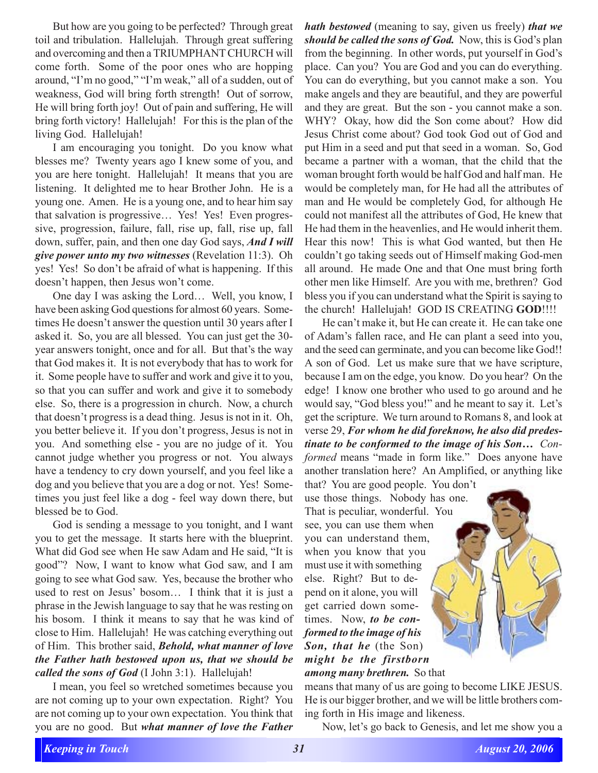But how are you going to be perfected? Through great toil and tribulation. Hallelujah. Through great suffering and overcoming and then a TRIUMPHANT CHURCH will come forth. Some of the poor ones who are hopping around, "I'm no good," "I'm weak," all of a sudden, out of weakness, God will bring forth strength! Out of sorrow, He will bring forth joy! Out of pain and suffering, He will bring forth victory! Hallelujah! For this is the plan of the living God. Hallelujah!

I am encouraging you tonight. Do you know what blesses me? Twenty years ago I knew some of you, and you are here tonight. Hallelujah! It means that you are listening. It delighted me to hear Brother John. He is a young one. Amen. He is a young one, and to hear him say that salvation is progressive… Yes! Yes! Even progressive, progression, failure, fall, rise up, fall, rise up, fall down, suffer, pain, and then one day God says, *And I will give power unto my two witnesses* (Revelation 11:3). Oh yes! Yes! So don't be afraid of what is happening. If this doesn't happen, then Jesus won't come.

One day I was asking the Lord… Well, you know, I have been asking God questions for almost 60 years. Sometimes He doesn't answer the question until 30 years after I asked it. So, you are all blessed. You can just get the 30 year answers tonight, once and for all. But that's the way that God makes it. It is not everybody that has to work for it. Some people have to suffer and work and give it to you, so that you can suffer and work and give it to somebody else. So, there is a progression in church. Now, a church that doesn't progress is a dead thing. Jesus is not in it. Oh, you better believe it. If you don't progress, Jesus is not in you. And something else - you are no judge of it. You cannot judge whether you progress or not. You always have a tendency to cry down yourself, and you feel like a dog and you believe that you are a dog or not. Yes! Sometimes you just feel like a dog - feel way down there, but blessed be to God.

God is sending a message to you tonight, and I want you to get the message. It starts here with the blueprint. What did God see when He saw Adam and He said, "It is good"? Now, I want to know what God saw, and I am going to see what God saw. Yes, because the brother who used to rest on Jesus' bosom… I think that it is just a phrase in the Jewish language to say that he was resting on his bosom. I think it means to say that he was kind of close to Him. Hallelujah! He was catching everything out of Him. This brother said, *Behold, what manner of love the Father hath bestowed upon us, that we should be called the sons of God* (I John 3:1). Hallelujah!

I mean, you feel so wretched sometimes because you are not coming up to your own expectation. Right? You are not coming up to your own expectation. You think that you are no good. But *what manner of love the Father*

*hath bestowed* (meaning to say, given us freely) *that we should be called the sons of God.* Now, this is God's plan from the beginning. In other words, put yourself in God's place. Can you? You are God and you can do everything. You can do everything, but you cannot make a son. You make angels and they are beautiful, and they are powerful and they are great. But the son - you cannot make a son. WHY? Okay, how did the Son come about? How did Jesus Christ come about? God took God out of God and put Him in a seed and put that seed in a woman. So, God became a partner with a woman, that the child that the woman brought forth would be half God and half man. He would be completely man, for He had all the attributes of man and He would be completely God, for although He could not manifest all the attributes of God, He knew that He had them in the heavenlies, and He would inherit them. Hear this now! This is what God wanted, but then He couldn't go taking seeds out of Himself making God-men all around. He made One and that One must bring forth other men like Himself. Are you with me, brethren? God bless you if you can understand what the Spirit is saying to the church! Hallelujah! GOD IS CREATING **GOD**!!!!

He can't make it, but He can create it. He can take one of Adam's fallen race, and He can plant a seed into you, and the seed can germinate, and you can become like God!! A son of God. Let us make sure that we have scripture, because I am on the edge, you know. Do you hear? On the edge! I know one brother who used to go around and he would say, "God bless you!" and he meant to say it. Let's get the scripture. We turn around to Romans 8, and look at verse 29, *For whom he did foreknow, he also did predestinate to be conformed to the image of his Son… Conformed* means "made in form like." Does anyone have another translation here? An Amplified, or anything like

that? You are good people. You don't use those things. Nobody has one. That is peculiar, wonderful. You see, you can use them when you can understand them, when you know that you must use it with something else. Right? But to depend on it alone, you will get carried down sometimes. Now, *to be conformed to the image of his Son, that he* (the Son) *might be the firstborn among many brethren.* So that

means that many of us are going to become LIKE JESUS. He is our bigger brother, and we will be little brothers coming forth in His image and likeness.

Now, let's go back to Genesis, and let me show you a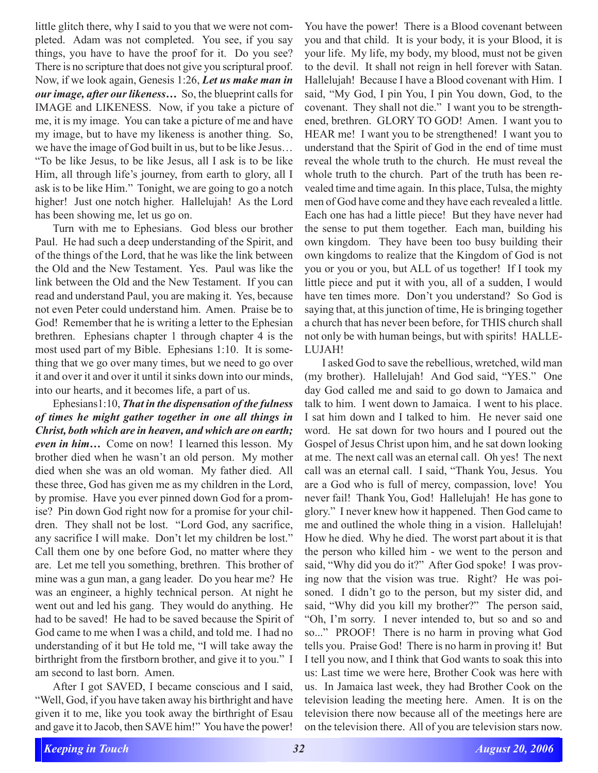little glitch there, why I said to you that we were not completed. Adam was not completed. You see, if you say things, you have to have the proof for it. Do you see? There is no scripture that does not give you scriptural proof. Now, if we look again, Genesis 1:26, *Let us make man in our image, after our likeness…* So, the blueprint calls for IMAGE and LIKENESS. Now, if you take a picture of me, it is my image. You can take a picture of me and have my image, but to have my likeness is another thing. So, we have the image of God built in us, but to be like Jesus… "To be like Jesus, to be like Jesus, all I ask is to be like Him, all through life's journey, from earth to glory, all I ask is to be like Him." Tonight, we are going to go a notch higher! Just one notch higher. Hallelujah! As the Lord has been showing me, let us go on.

Turn with me to Ephesians. God bless our brother Paul. He had such a deep understanding of the Spirit, and of the things of the Lord, that he was like the link between the Old and the New Testament. Yes. Paul was like the link between the Old and the New Testament. If you can read and understand Paul, you are making it. Yes, because not even Peter could understand him. Amen. Praise be to God! Remember that he is writing a letter to the Ephesian brethren. Ephesians chapter 1 through chapter 4 is the most used part of my Bible. Ephesians 1:10. It is something that we go over many times, but we need to go over it and over it and over it until it sinks down into our minds, into our hearts, and it becomes life, a part of us.

Ephesians1:10, *That in the dispensation of the fulness of times he might gather together in one all things in Christ, both which are in heaven, and which are on earth; even in him…* Come on now! I learned this lesson. My brother died when he wasn't an old person. My mother died when she was an old woman. My father died. All these three, God has given me as my children in the Lord, by promise. Have you ever pinned down God for a promise? Pin down God right now for a promise for your children. They shall not be lost. "Lord God, any sacrifice, any sacrifice I will make. Don't let my children be lost." Call them one by one before God, no matter where they are. Let me tell you something, brethren. This brother of mine was a gun man, a gang leader. Do you hear me? He was an engineer, a highly technical person. At night he went out and led his gang. They would do anything. He had to be saved! He had to be saved because the Spirit of God came to me when I was a child, and told me. I had no understanding of it but He told me, "I will take away the birthright from the firstborn brother, and give it to you." I am second to last born. Amen.

After I got SAVED, I became conscious and I said, "Well, God, if you have taken away his birthright and have given it to me, like you took away the birthright of Esau and gave it to Jacob, then SAVE him!" You have the power!

You have the power! There is a Blood covenant between you and that child. It is your body, it is your Blood, it is your life. My life, my body, my blood, must not be given to the devil. It shall not reign in hell forever with Satan. Hallelujah! Because I have a Blood covenant with Him. I said, "My God, I pin You, I pin You down, God, to the covenant. They shall not die." I want you to be strengthened, brethren. GLORY TO GOD! Amen. I want you to HEAR me! I want you to be strengthened! I want you to understand that the Spirit of God in the end of time must reveal the whole truth to the church. He must reveal the whole truth to the church. Part of the truth has been revealed time and time again. In this place, Tulsa, the mighty men of God have come and they have each revealed a little. Each one has had a little piece! But they have never had the sense to put them together. Each man, building his own kingdom. They have been too busy building their own kingdoms to realize that the Kingdom of God is not you or you or you, but ALL of us together! If I took my little piece and put it with you, all of a sudden, I would have ten times more. Don't you understand? So God is saying that, at this junction of time, He is bringing together a church that has never been before, for THIS church shall not only be with human beings, but with spirits! HALLE-LUJAH!

I asked God to save the rebellious, wretched, wild man (my brother). Hallelujah! And God said, "YES." One day God called me and said to go down to Jamaica and talk to him. I went down to Jamaica. I went to his place. I sat him down and I talked to him. He never said one word. He sat down for two hours and I poured out the Gospel of Jesus Christ upon him, and he sat down looking at me. The next call was an eternal call. Oh yes! The next call was an eternal call. I said, "Thank You, Jesus. You are a God who is full of mercy, compassion, love! You never fail! Thank You, God! Hallelujah! He has gone to glory." I never knew how it happened. Then God came to me and outlined the whole thing in a vision. Hallelujah! How he died. Why he died. The worst part about it is that the person who killed him - we went to the person and said, "Why did you do it?" After God spoke! I was proving now that the vision was true. Right? He was poisoned. I didn't go to the person, but my sister did, and said, "Why did you kill my brother?" The person said, "Oh, I'm sorry. I never intended to, but so and so and so..." PROOF! There is no harm in proving what God tells you. Praise God! There is no harm in proving it! But I tell you now, and I think that God wants to soak this into us: Last time we were here, Brother Cook was here with us. In Jamaica last week, they had Brother Cook on the television leading the meeting here. Amen. It is on the television there now because all of the meetings here are on the television there. All of you are television stars now.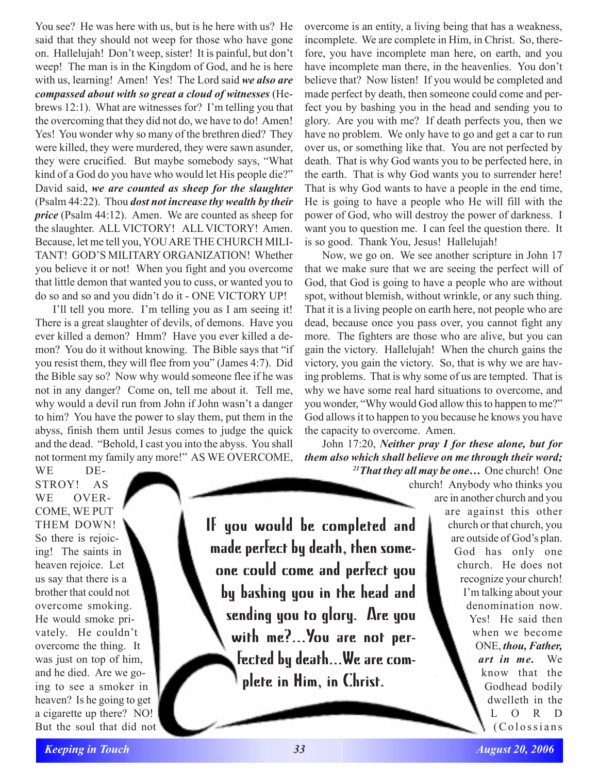You see? He was here with us, but is he here with us? He said that they should not weep for those who have gone on. Hallelujah! Don't weep, sister! It is painful, but don't weep! The man is in the Kingdom of God, and he is here with us, learning! Amen! Yes! The Lord said *we also are compassed about with so great a cloud of witnesses* (Hebrews 12:1). What are witnesses for? I'm telling you that the overcoming that they did not do, we have to do! Amen! Yes! You wonder why so many of the brethren died? They were killed, they were murdered, they were sawn asunder, they were crucified. But maybe somebody says, "What kind of a God do you have who would let His people die?" David said, *we are counted as sheep for the slaughter* (Psalm 44:22). Thou *dost not increase thy wealth by their price* (Psalm 44:12). Amen. We are counted as sheep for the slaughter. ALL VICTORY! ALL VICTORY! Amen. Because, let me tell you, YOU ARE THE CHURCH MILI-TANT! GOD'S MILITARY ORGANIZATION! Whether you believe it or not! When you fight and you overcome that little demon that wanted you to cuss, or wanted you to do so and so and you didn't do it - ONE VICTORY UP!

I'll tell you more. I'm telling you as I am seeing it! There is a great slaughter of devils, of demons. Have you ever killed a demon? Hmm? Have you ever killed a demon? You do it without knowing. The Bible says that "if you resist them, they will flee from you" (James 4:7). Did the Bible say so? Now why would someone flee if he was not in any danger? Come on, tell me about it. Tell me, why would a devil run from John if John wasn't a danger to him? You have the power to slay them, put them in the abyss, finish them until Jesus comes to judge the quick and the dead. "Behold, I cast you into the abyss. You shall not torment my family any more!" AS WE OVERCOME,

WE DE-STROY! AS WE OVER-COME, WE PUT THEM DOWN! So there is rejoicing! The saints in heaven rejoice. Let us say that there is a brother that could not overcome smoking. He would smoke privately. He couldn't overcome the thing. It was just on top of him, and he died. Are we going to see a smoker in heaven? Is he going to get a cigarette up there? NO! But the soul that did not

If you would be completed and made perfect by death, then someone could come and perfect you by bashing you in the head and sending you to glory. Are you with me?...You are not perfected by death...We are complete in Him, in Christ.

overcome is an entity, a living being that has a weakness, incomplete. We are complete in Him, in Christ. So, therefore, you have incomplete man here, on earth, and you have incomplete man there, in the heavenlies. You don't believe that? Now listen! If you would be completed and made perfect by death, then someone could come and perfect you by bashing you in the head and sending you to glory. Are you with me? If death perfects you, then we have no problem. We only have to go and get a car to run over us, or something like that. You are not perfected by death. That is why God wants you to be perfected here, in the earth. That is why God wants you to surrender here! That is why God wants to have a people in the end time, He is going to have a people who He will fill with the power of God, who will destroy the power of darkness. I want you to question me. I can feel the question there. It is so good. Thank You, Jesus! Hallelujah!

Now, we go on. We see another scripture in John 17 that we make sure that we are seeing the perfect will of God, that God is going to have a people who are without spot, without blemish, without wrinkle, or any such thing. That it is a living people on earth here, not people who are dead, because once you pass over, you cannot fight any more. The fighters are those who are alive, but you can gain the victory. Hallelujah! When the church gains the victory, you gain the victory. So, that is why we are having problems. That is why some of us are tempted. That is why we have some real hard situations to overcome, and you wonder, "Why would God allow this to happen to me?" God allows it to happen to you because he knows you have the capacity to overcome. Amen.

John 17:20, *Neither pray I for these alone, but for them also which shall believe on me through their word; 21That they all may be one…* One church! One

church! Anybody who thinks you are in another church and you are against this other church or that church, you are outside of God's plan. God has only one church. He does not recognize your church! I'm talking about your denomination now. Yes! He said then when we become ONE, *thou, Father, art in me.* We know that the Godhead bodily dwelleth in the L O R D (Colossians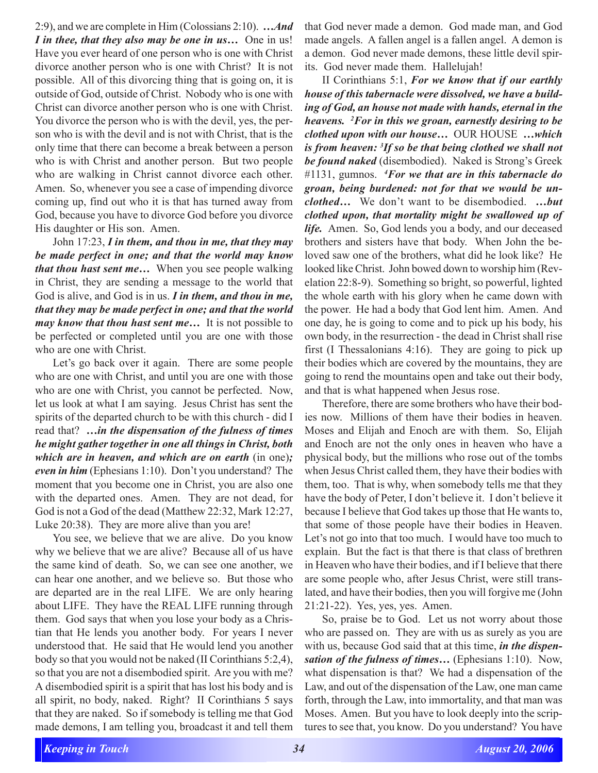2:9), and we are complete in Him (Colossians 2:10). *…And I in thee, that they also may be one in us…* One in us! Have you ever heard of one person who is one with Christ divorce another person who is one with Christ? It is not possible. All of this divorcing thing that is going on, it is outside of God, outside of Christ. Nobody who is one with Christ can divorce another person who is one with Christ. You divorce the person who is with the devil, yes, the person who is with the devil and is not with Christ, that is the only time that there can become a break between a person who is with Christ and another person. But two people who are walking in Christ cannot divorce each other. Amen. So, whenever you see a case of impending divorce coming up, find out who it is that has turned away from God, because you have to divorce God before you divorce His daughter or His son. Amen.

John 17:23, *I in them, and thou in me, that they may be made perfect in one; and that the world may know that thou hast sent me…* When you see people walking in Christ, they are sending a message to the world that God is alive, and God is in us. *I in them, and thou in me, that they may be made perfect in one; and that the world may know that thou hast sent me…* It is not possible to be perfected or completed until you are one with those who are one with Christ.

Let's go back over it again. There are some people who are one with Christ, and until you are one with those who are one with Christ, you cannot be perfected. Now, let us look at what I am saying. Jesus Christ has sent the spirits of the departed church to be with this church - did I read that? *…in the dispensation of the fulness of times he might gather together in one all things in Christ, both which are in heaven, and which are on earth* (in one)*; even in him* (Ephesians 1:10). Don't you understand? The moment that you become one in Christ, you are also one with the departed ones. Amen. They are not dead, for God is not a God of the dead (Matthew 22:32, Mark 12:27, Luke 20:38). They are more alive than you are!

You see, we believe that we are alive. Do you know why we believe that we are alive? Because all of us have the same kind of death. So, we can see one another, we can hear one another, and we believe so. But those who are departed are in the real LIFE. We are only hearing about LIFE. They have the REAL LIFE running through them. God says that when you lose your body as a Christian that He lends you another body. For years I never understood that. He said that He would lend you another body so that you would not be naked (II Corinthians 5:2,4), so that you are not a disembodied spirit. Are you with me? A disembodied spirit is a spirit that has lost his body and is all spirit, no body, naked. Right? II Corinthians 5 says that they are naked. So if somebody is telling me that God made demons, I am telling you, broadcast it and tell them that God never made a demon. God made man, and God made angels. A fallen angel is a fallen angel. A demon is a demon. God never made demons, these little devil spirits. God never made them. Hallelujah!

II Corinthians 5:1, *For we know that if our earthly house of this tabernacle were dissolved, we have a building of God, an house not made with hands, eternal in the heavens. 2 For in this we groan, earnestly desiring to be clothed upon with our house…* OUR HOUSE *…which is from heaven: 3 If so be that being clothed we shall not be found naked* (disembodied). Naked is Strong's Greek #1131, gumnos. *<sup>4</sup> For we that are in this tabernacle do groan, being burdened: not for that we would be unclothed…* We don't want to be disembodied. *…but clothed upon, that mortality might be swallowed up of life.* Amen. So, God lends you a body, and our deceased brothers and sisters have that body. When John the beloved saw one of the brothers, what did he look like? He looked like Christ. John bowed down to worship him (Revelation 22:8-9). Something so bright, so powerful, lighted the whole earth with his glory when he came down with the power. He had a body that God lent him. Amen. And one day, he is going to come and to pick up his body, his own body, in the resurrection - the dead in Christ shall rise first (I Thessalonians 4:16). They are going to pick up their bodies which are covered by the mountains, they are going to rend the mountains open and take out their body, and that is what happened when Jesus rose.

Therefore, there are some brothers who have their bodies now. Millions of them have their bodies in heaven. Moses and Elijah and Enoch are with them. So, Elijah and Enoch are not the only ones in heaven who have a physical body, but the millions who rose out of the tombs when Jesus Christ called them, they have their bodies with them, too. That is why, when somebody tells me that they have the body of Peter, I don't believe it. I don't believe it because I believe that God takes up those that He wants to, that some of those people have their bodies in Heaven. Let's not go into that too much. I would have too much to explain. But the fact is that there is that class of brethren in Heaven who have their bodies, and if I believe that there are some people who, after Jesus Christ, were still translated, and have their bodies, then you will forgive me (John 21:21-22). Yes, yes, yes. Amen.

So, praise be to God. Let us not worry about those who are passed on. They are with us as surely as you are with us, because God said that at this time, *in the dispensation of the fulness of times…* (Ephesians 1:10). Now, what dispensation is that? We had a dispensation of the Law, and out of the dispensation of the Law, one man came forth, through the Law, into immortality, and that man was Moses. Amen. But you have to look deeply into the scriptures to see that, you know. Do you understand? You have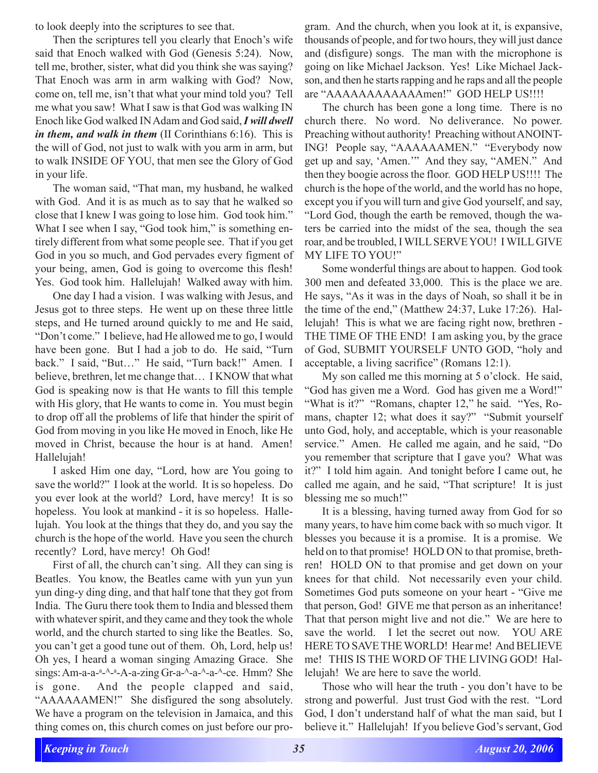to look deeply into the scriptures to see that.

Then the scriptures tell you clearly that Enoch's wife said that Enoch walked with God (Genesis 5:24). Now, tell me, brother, sister, what did you think she was saying? That Enoch was arm in arm walking with God? Now, come on, tell me, isn't that what your mind told you? Tell me what you saw! What I saw is that God was walking IN Enoch like God walked IN Adam and God said, *I will dwell in them, and walk in them* (II Corinthians 6:16). This is the will of God, not just to walk with you arm in arm, but to walk INSIDE OF YOU, that men see the Glory of God in your life.

The woman said, "That man, my husband, he walked with God. And it is as much as to say that he walked so close that I knew I was going to lose him. God took him." What I see when I say, "God took him," is something entirely different from what some people see. That if you get God in you so much, and God pervades every figment of your being, amen, God is going to overcome this flesh! Yes. God took him. Hallelujah! Walked away with him.

One day I had a vision. I was walking with Jesus, and Jesus got to three steps. He went up on these three little steps, and He turned around quickly to me and He said, "Don't come." I believe, had He allowed me to go, I would have been gone. But I had a job to do. He said, "Turn back." I said, "But…" He said, "Turn back!" Amen. I believe, brethren, let me change that… I KNOW that what God is speaking now is that He wants to fill this temple with His glory, that He wants to come in. You must begin to drop off all the problems of life that hinder the spirit of God from moving in you like He moved in Enoch, like He moved in Christ, because the hour is at hand. Amen! Hallelujah!

I asked Him one day, "Lord, how are You going to save the world?" I look at the world. It is so hopeless. Do you ever look at the world? Lord, have mercy! It is so hopeless. You look at mankind - it is so hopeless. Hallelujah. You look at the things that they do, and you say the church is the hope of the world. Have you seen the church recently? Lord, have mercy! Oh God!

First of all, the church can't sing. All they can sing is Beatles. You know, the Beatles came with yun yun yun yun ding-y ding ding, and that half tone that they got from India. The Guru there took them to India and blessed them with whatever spirit, and they came and they took the whole world, and the church started to sing like the Beatles. So, you can't get a good tune out of them. Oh, Lord, help us! Oh yes, I heard a woman singing Amazing Grace. She sings: Am-a-a-<sup>a</sup>-<sup>a</sup>-<sup>a</sup>-A-a-zing Gr-a-<sup>A</sup>-a-<sup>A</sup>-a-<sup>A</sup>-ce. Hmm? She is gone. And the people clapped and said, "AAAAAAMEN!" She disfigured the song absolutely. We have a program on the television in Jamaica, and this thing comes on, this church comes on just before our pro-

gram. And the church, when you look at it, is expansive, thousands of people, and for two hours, they will just dance and (disfigure) songs. The man with the microphone is going on like Michael Jackson. Yes! Like Michael Jackson, and then he starts rapping and he raps and all the people are "AAAAAAAAAAAAmen!" GOD HELP US!!!!

The church has been gone a long time. There is no church there. No word. No deliverance. No power. Preaching without authority! Preaching without ANOINT-ING! People say, "AAAAAAMEN." "Everybody now get up and say, 'Amen.'" And they say, "AMEN." And then they boogie across the floor. GOD HELP US!!!! The church is the hope of the world, and the world has no hope, except you if you will turn and give God yourself, and say, "Lord God, though the earth be removed, though the waters be carried into the midst of the sea, though the sea roar, and be troubled, I WILL SERVE YOU! I WILL GIVE MY LIFE TO YOU!"

Some wonderful things are about to happen. God took 300 men and defeated 33,000. This is the place we are. He says, "As it was in the days of Noah, so shall it be in the time of the end," (Matthew 24:37, Luke 17:26). Hallelujah! This is what we are facing right now, brethren - THE TIME OF THE END! I am asking you, by the grace of God, SUBMIT YOURSELF UNTO GOD, "holy and acceptable, a living sacrifice" (Romans 12:1).

My son called me this morning at 5 o'clock. He said, "God has given me a Word. God has given me a Word!" "What is it?" "Romans, chapter 12," he said. "Yes, Romans, chapter 12; what does it say?" "Submit yourself unto God, holy, and acceptable, which is your reasonable service." Amen. He called me again, and he said, "Do you remember that scripture that I gave you? What was it?" I told him again. And tonight before I came out, he called me again, and he said, "That scripture! It is just blessing me so much!"

It is a blessing, having turned away from God for so many years, to have him come back with so much vigor. It blesses you because it is a promise. It is a promise. We held on to that promise! HOLD ON to that promise, brethren! HOLD ON to that promise and get down on your knees for that child. Not necessarily even your child. Sometimes God puts someone on your heart - "Give me that person, God! GIVE me that person as an inheritance! That that person might live and not die." We are here to save the world. I let the secret out now. YOU ARE HERE TO SAVE THE WORLD! Hear me! And BELIEVE me! THIS IS THE WORD OF THE LIVING GOD! Hallelujah! We are here to save the world.

Those who will hear the truth - you don't have to be strong and powerful. Just trust God with the rest. "Lord God, I don't understand half of what the man said, but I believe it." Hallelujah! If you believe God's servant, God